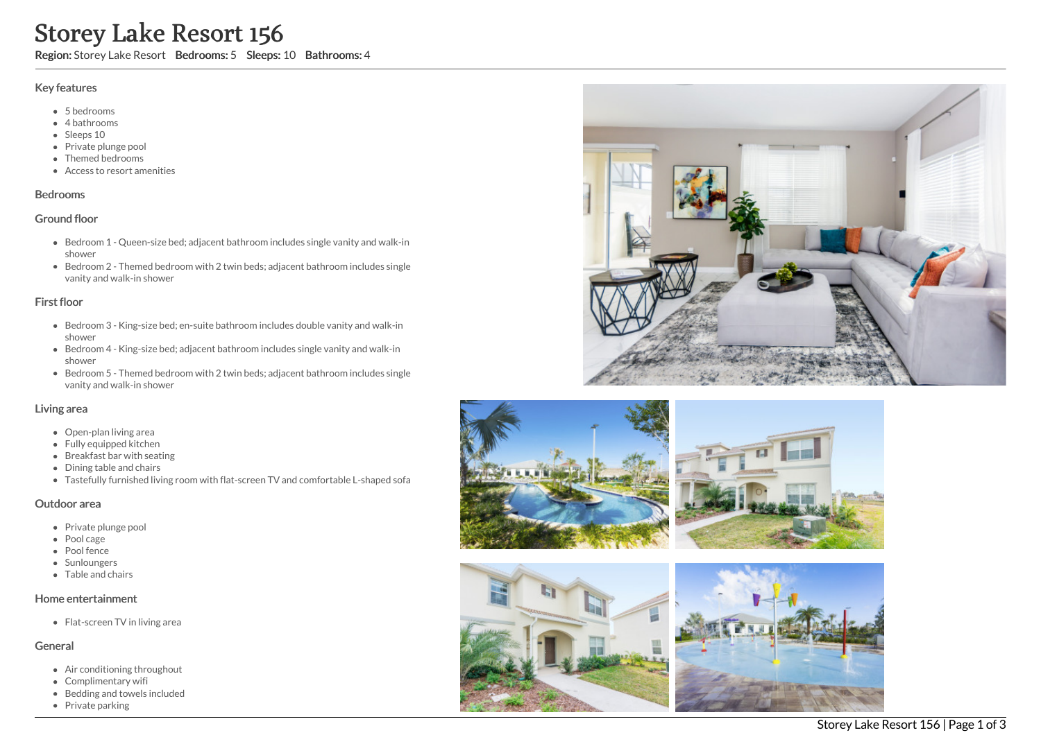# Storey Lake Resort 156

Region: Storey Lake Resort Bedrooms: 5 Sleeps: 10 Bathrooms: 4

#### Key features

- 5 bedrooms
- 4 bathrooms
- Sleeps 10
- Private plunge pool
- Themed bedrooms
- Access to resort amenities

#### Bedrooms

## Ground floor

- Bedroom 1 Queen-size bed; adjacent bathroom includes single vanity and walk-in shower
- Bedroom 2 Themed bedroom with 2 twin beds; adjacent bathroom includes single vanity and walk-in shower

## First floor

- Bedroom 3 King-size bed; en-suite bathroom includes double vanity and walk-in shower
- Bedroom 4 King-size bed; adjacent bathroom includes single vanity and walk-in shower
- Bedroom 5 Themed bedroom with 2 twin beds; adjacent bathroom includes single vanity and walk-in shower

### Living area

- Open-plan living area
- Fully equipped kitchen
- Breakfast bar with seating
- Dining table and chairs
- Tastefully furnished living room with flat-screen TV and comfortable L-shaped sofa

### Outdoor area

- Private plunge pool
- Pool cage
- Pool fence
- Sunloungers
- Table and chairs

## Home entertainment

Flat-screen TV in living area

### General

- Air conditioning throughout
- Complimentary wifi
- Bedding and towels included
- Private parking









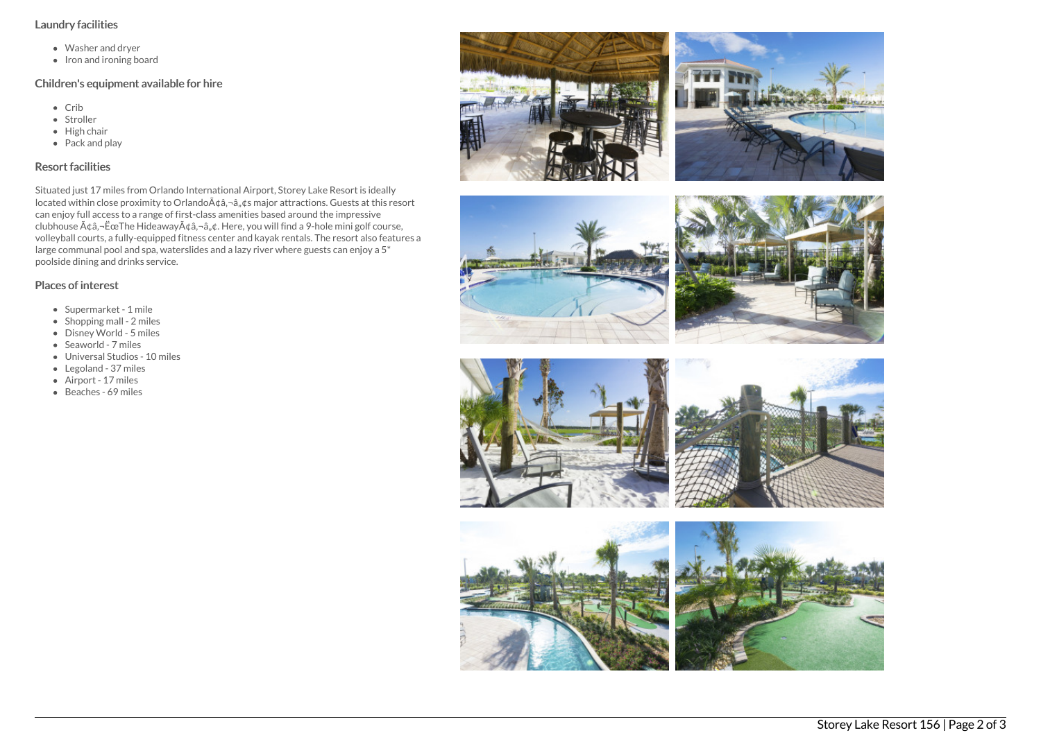## Laundry facilities

- Washer and dryer
- Iron and ironing board

# Children's equipment available for hire

- Crib
- Stroller
- $\bullet$  High chair
- Pack and play

# Resort facilities

Situated just 17 miles from Orlando International Airport, Storey Lake Resort is ideally located within close proximity to Orlando A¢â, - â"¢s major attractions. Guests at this resort can enjoy full access to a range of first-class amenities based around the impressive clubhouse  $A \phi a$ , - Ëce The Hideaway $A \phi a$ , - $a$ ,  $\phi a$ . Here, you will find a 9-hole mini golf course, volleyball courts, a fully-equipped fitness center and kayak rentals. The resort also features a large communal pool and spa, waterslides and a lazy river where guests can enjoy a 5\* poolside dining and drinks service.

# Places of interest

- Supermarket 1 mile
- $\bullet$  Shopping mall 2 miles
- Disney World 5 miles
- Seaworld 7 miles
- Universal Studios 10 miles
- Legoland 37 miles
- Airport 17 miles
- Beaches 69 miles